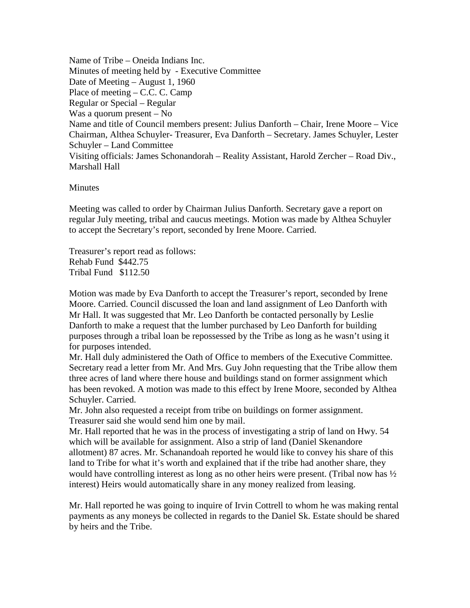Name of Tribe – Oneida Indians Inc. Minutes of meeting held by - Executive Committee Date of Meeting – August 1, 1960 Place of meeting – C.C. C. Camp Regular or Special – Regular Was a quorum present – No Name and title of Council members present: Julius Danforth – Chair, Irene Moore – Vice Chairman, Althea Schuyler- Treasurer, Eva Danforth – Secretary. James Schuyler, Lester Schuyler – Land Committee Visiting officials: James Schonandorah – Reality Assistant, Harold Zercher – Road Div., Marshall Hall

## **Minutes**

Meeting was called to order by Chairman Julius Danforth. Secretary gave a report on regular July meeting, tribal and caucus meetings. Motion was made by Althea Schuyler to accept the Secretary's report, seconded by Irene Moore. Carried.

Treasurer's report read as follows: Rehab Fund \$442.75 Tribal Fund \$112.50

Motion was made by Eva Danforth to accept the Treasurer's report, seconded by Irene Moore. Carried. Council discussed the loan and land assignment of Leo Danforth with Mr Hall. It was suggested that Mr. Leo Danforth be contacted personally by Leslie Danforth to make a request that the lumber purchased by Leo Danforth for building purposes through a tribal loan be repossessed by the Tribe as long as he wasn't using it for purposes intended.

Mr. Hall duly administered the Oath of Office to members of the Executive Committee. Secretary read a letter from Mr. And Mrs. Guy John requesting that the Tribe allow them three acres of land where there house and buildings stand on former assignment which has been revoked. A motion was made to this effect by Irene Moore, seconded by Althea Schuyler. Carried.

Mr. John also requested a receipt from tribe on buildings on former assignment. Treasurer said she would send him one by mail.

Mr. Hall reported that he was in the process of investigating a strip of land on Hwy. 54 which will be available for assignment. Also a strip of land (Daniel Skenandore allotment) 87 acres. Mr. Schanandoah reported he would like to convey his share of this land to Tribe for what it's worth and explained that if the tribe had another share, they would have controlling interest as long as no other heirs were present. (Tribal now has ½ interest) Heirs would automatically share in any money realized from leasing.

Mr. Hall reported he was going to inquire of Irvin Cottrell to whom he was making rental payments as any moneys be collected in regards to the Daniel Sk. Estate should be shared by heirs and the Tribe.